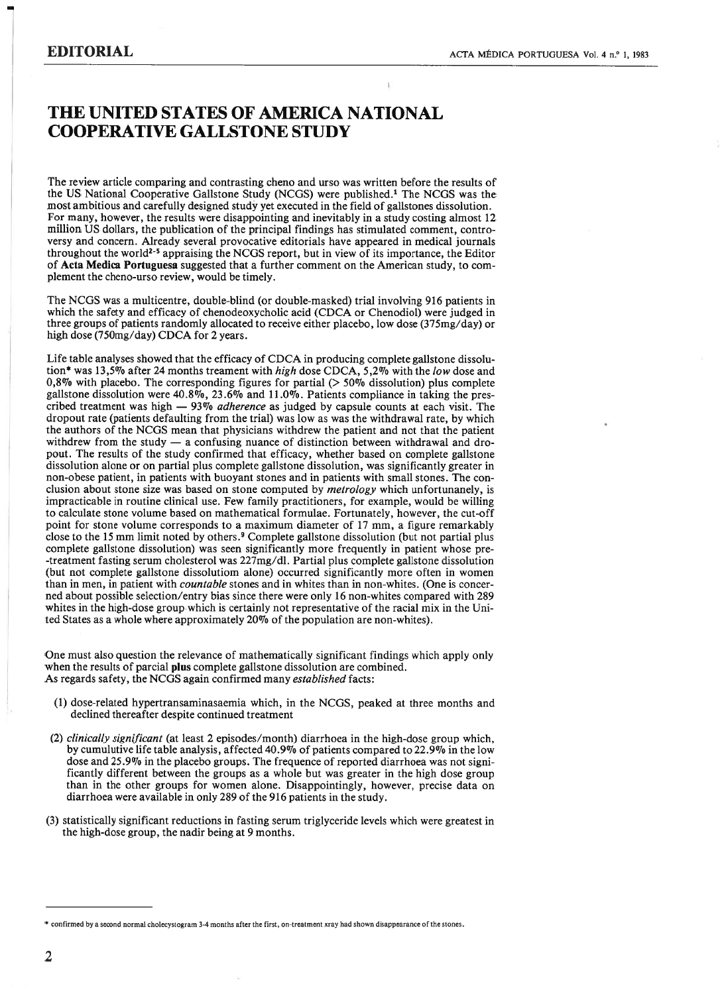## THE UNITED STATES OF AMERICA NATIONAL COOPERATIVE GALLSTONE STUDY

The review article comparing and contrasting cheno and urso was written before the results of the US National Cooperative Galistone Study (NCGS) were pubiished.' The NCGS was the most ambitious and carefully designed study yet executed in the field of gallstones dissolution. For many, however, the results were disappointing and inevitably in a study costing almost 12 miliion US dollars, the publication of the principal findings has stimulated comment, contro versy and concern. Already several provocative editoriais have appeared in medical journals throughout the world<sup>2-5</sup> appraising the NCGS report, but in view of its importance, the Editor of Acta Medica Portuguesa suggested that <sup>a</sup> further comment on the American study, to com plement the cheno-urso review, would be timely.

The NCGS was <sup>a</sup> multicentre, double-blind (or double-masked) trial involving 916 patients in which the safety and efficacy of chenodeoxycholic acid (CDCA or Chenodiol) were judged in three groups of patients randomly allocated to receive either placebo, low dose (375mg/day) or high dose (750mg/day) CDCA for <sup>2</sup> years.

Life table analyses showed that the efficacy of CDCA in producing complete gallstone dissolution\* was 13,5% after 24 months treament with *high* dose CDCA, 5,2% with the *low* dose and 0,8% with placebo. The corresponding figures for partial  $(>50\%$  dissolution) plus complete gallstone dissolution were  $40.8\%$ ,  $23.6\%$  and  $11.0\%$ . Patients compliance in taking the prescribed treatment was high  $-93\%$  *adherence* as judged by capsule counts at each visit. The dropout rate (patients defaulting from the trial) was low as was the withdrawal rate, by which the authors of the NCGS mean that physicians withdrew the patient and not that the patient withdrew from the study  $-$  a confusing nuance of distinction between withdrawal and dropout. The resuits of the study confirmed that efficacy, whether based on complete gallstone dissolution alone or on partial plus complete gallstone dissolution, was significantly greater in non-obese patient, in patients with buoyant stones and in patients with small stones. The con clusion about stone size was based on stone computed by *metrology* which unfortunanely, is impracticable in routine clinical use. Few family practitioners, for example, would be willing to calculate stone volume based on mathematical formulae. Fortunately, however, the cut-off point for stone volume corresponds to <sup>a</sup> maximum diameter of <sup>17</sup> mm, <sup>a</sup> figure remarkably close to the 15 mm limit noted by others.<sup>9</sup> Complete gallstone dissolution (but not partial plus complete gallstone dissolution) was seen significantly more frequently in patient whose pre -treatment fasting serum cholesterol was 227mg/dl. Partial plus complete galistone dissolution (but not complete gallstone dissolutiom alone) occurred significantly more often in women than in men, in patient with *countable* stones and in whites than in non-whites. (One is concerned about possible selection/entry bias since there were only 16 non-whites compared with 289 whites in the high-dose group which is certainly not representative of the racial mix in the Uni ted States as <sup>a</sup> whole where approximately 20% of the population are non-whites).

One must also question the relevance of mathematically significant findings which apply only when the results of parcial plus complete gallstone dissolution are combined. As regards safety, the NCGS again confirmed many established facts:

- (1) dose-related hypertransaminasaemia which, in the NCGS, peaked at three months and declined thereafter despite continued treatment
- (2) clinically significant (at least 2 episodes/month) diarrhoea in the high-dose group which, by cumulutive life table analysis, affected 40.9% of patients compared to 22.9% in the low dose and 25.9% in the placebo groups. The frequence of reported diarrhoea was not signi ficantly different between the groups as <sup>a</sup> whole but was greater in the high dose group than in the other groups for women alone. Disappointingly, however, precise data on diarrhoea were available in only 289 of the 916 patients in the study.
- (3) statistically significant reductions in fasting serum triglyceride leveis which were greatest in the high-dose group, the nadir being at 9 months.

confirmed by <sup>a</sup> second normal cholecystogram 3-4 months after the first, on-treatment xray had shown disappearance of the siones.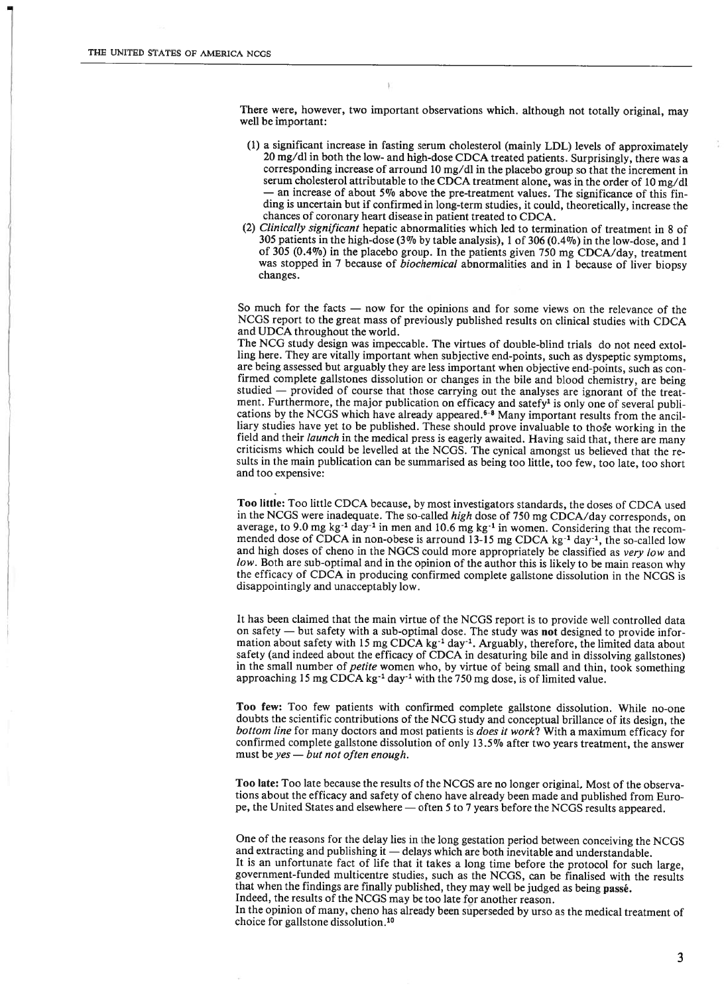There were, however, two important observations which. although not totaliy original, may well be important:

- (1) <sup>a</sup> significant increase in fasting serum cholesterol (mainiy LDL) leveis of approximately 20 mg/dl in both the low- and high-dose CDCA treated patients. Surprisingly, there was <sup>a</sup> corresponding increase of arround 10 mg/dl in the placebo group so that the increment in serum cholesterol attributable to the CDCA treatment alone, was in the order of <sup>10</sup> mg/dl and increase of about 5% above the pre-treatment values. The significance of this finding is uncertain but if confirmed in long-term studies, it could, theoretically, increase the chances of coronary heart disease in patient treated to CDCA.
- (2) Clinically significant hepatic abnormalities which led to termination of treatment in 8 of <sup>305</sup> patients in the high-dose (3% by table analysis), <sup>1</sup> of <sup>306</sup> (0.4%) in the low-dose, and <sup>1</sup> of 305 (0.4%) in the placebo group. In the patients given 750 mg CDCA/day, treatment was stopped in 7 because of *biochemical* abnormalities and in 1 because of liver biopsy changes.

So much for the facts — now for the opinions and for some views on the relevance of the NCGS report to the great mass of previously published results on clinical studies with CDCA and UDCA throughout the world.

The NCG study design was impeccable. The virtues of double-blind triais do not need extol ling here. They are vitally important when subjective end-points, such as dyspeptic symptoms, are being assessed but arguably they are less important when objective end-points, such as con firmed complete galistones dissolution or changes in the bile and blood chemistry, are being studied — provided of course that those carrying out the analyses are ignorant of the treat ment. Furthermore, the major publication on efficacy and satefy<sup>1</sup> is only one of several publications by the NCGS which have already appeared.<sup>6-8</sup> Many important results from the ancilliary studies have yet to be published. These should prove invaluable to those working in the field and their launch in the medical press is eagerly awaited. Having said that, there are many criticisms which could be levelled at the NCGS. The cynical amongst us believed that the re sults in the main publication can be summarised as being too little, too few, too late, too short and too expensive:

Too little: Too little CDCA because, by most investigators standards, the doses of CDCA used in the NCGS were inadequate. The so-called high dose of 750 mg CDCA/day corresponds, on average, to 9.0 mg kg<sup>-1</sup> day<sup>-1</sup> in men and 10.6 mg kg<sup>-1</sup> in women. Considering that the recommended dose of CDCA in non-obese is arround  $13-15$  mg CDCA kg<sup>-1</sup> day<sup>-1</sup>, the so-called low and high doses of cheno in the NGCS could more appropriately be classified as very low and low. Both are sub-optimal and in the opinion of the author this is likely to be main reason why the efficacy of CDCA in producing confirmed complete galistone dissolution in the NCGS is disappointingly and unacceptably low.

It has been claimed that the main virtue of the NCGS report is to provide well controlled data on safety — but safety with <sup>a</sup> sub-optimal dose. The study was not designed to provide infor mation about safety with 15 mg CDCA kg<sup>-1</sup> day<sup>-1</sup>. Arguably, therefore, the limited data about safety (and indeed about the efficacy of CDCA in desaturing bile and in dissolving galistones) in the small number of *petite* women who, by virtue of being small and thin, took something approaching 15 mg CDCA kg<sup>-1</sup> day<sup>-1</sup> with the 750 mg dose, is of limited value.

Too few: Too few patients with confirmed complete gallstone dissolution. While no-one doubts the scientific contributions of the NCG study and conceptual briliance of its design, the bottom line for many doctors and most patients is does it work? With a maximum efficacy for confirmed complete galistone dissolution of only 13.5% after two years treatment, the answer must be yes — but not often enough.

Too late: Too late because the results of the NCGS are no longer original. Most of the observa tions about the efficacy and safety of cheno have already been made and published from Euro pe, the United States and elsewhere — often 5 to 7 years before the NCGS results appeared.

One of the reasons for the delay lies in the long gestation period between conceiving the NCGS and extracting and publishing it — delays which are both inevitable and understandable. It is an unfortunate fact of life that it takes <sup>a</sup> long time before the protocol for such large,

government-funded multicentre studies, such as the NCGS, can be finalised with the results that when the findings are finally published, they may well be judged as being passé. Indeed, the results of the NCGS may be too late for another reason.

In the opinion of many, cheno has already been superseded by urso as the medical treatment of choice for galistone dissolution.1°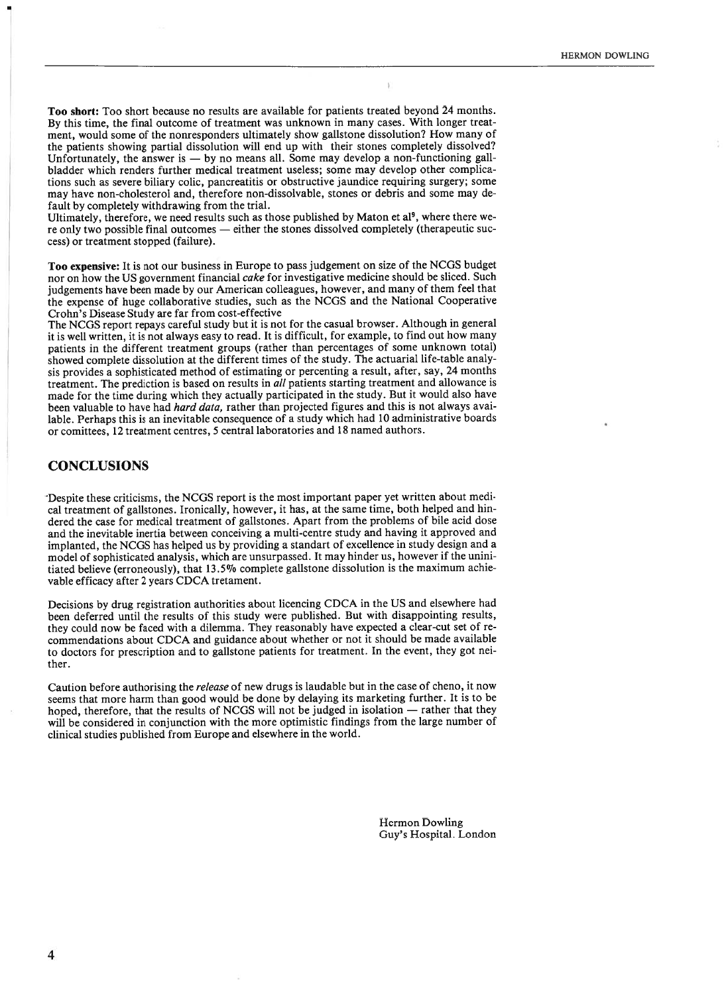Too short: Too short because no results are available for patients treated beyond 24 months. By this time, the final outcome of treatment was unknown in many cases. With longer treat ment, would some of the nonresponders ultimately show galistone dissolution? How many of the patients showing partiai dissolution wiil end up with their stones completely dissolved? Unfortunately, the answer is — by no means all. Some may develop a non-functioning gallbiadder which renders further medical treatment useiess; some may develop other complica tions such as severe biliary coiic, pancreatitis or obstructive jaundice requiring surgery; some may have non-cholesterol and, therefore non-dissolvable, stones or debris and some may de fault by completely withdrawing from the triai.

Ultimately, therefore, we need results such as those published by Maton et al., where there were only two possible final outcomes — either the stones dissolved completely (therapeutic suc cess) or treatment stopped (failure).

Too expensive: It is not our business in Europe to pass judgement on size of the NCGS budget nor on how the US government financial cake for investigative medicine should be sliced. Such judgements have been made by our American coileagues, however, and many of them feel that the expense of huge coilaborative studies, such as the NCGS and the National Cooperative Crohn's Disease Study are far from cost-effective

The NCGS report repays careful study but it is not for the casual browser. Although in general it is well written, it is not always easy to read. It is difficult, for example, to find out how many patients in the different treatment groups (rather than percentages of some unknown total) showed complete dissolution at the different times of the study. The actuarial life-table analysis provides <sup>a</sup> sophisticated method of estimating or percenting <sup>a</sup> result, after, say, 24 months treatment. The prediction is based on resuits in ali patients starting treatment and allowance is made for the time during which they actually participated in the study. But it would also have been valuable to have had *hard data*, rather than projected figures and this is not always available. Perhaps this is an inevitable consequence of <sup>a</sup> study which had 10 administrative boards or comittees, 12 treatment centres, 5 central laboratories and 18 named authors.

## **CONCLUSIONS**

Despite these criticisms, the NCGS report is the most important paper yet written about medi cal treatment of gallstones. Ironically, however, it has, at the same time, both helped and hin dered the case for medical treatment of galistones. Apart from the problems of bile acid dose and the inevitable inertia between conceiving <sup>a</sup> multi-centre study and having it approved and impianted, the NCGS has helped us by providing <sup>a</sup> standart of excellence in study design and <sup>a</sup> model of sophisticated analysis, which are unsurpassed. It may hinder us, however if the unini tiated believe (erroneously), that 13.5% complete gallstone dissolution is the maximum achie vable efficacy after 2 years CDCA tretament.

Decisions by drug registration authorities about licencing CDCA in the US and elsewhere had been deferred until the results of this study were published. But with disappointing results, they could now be faced with <sup>a</sup> dilemma. They reasonabiy have expected <sup>a</sup> clear-cut set of re commendations about CDCA and guidance about whether or not it should be made avaiiable to doctors for prescription and to gallstone patients for treatment. In the event, they got nei ther.

Caution before authorising the release of new drugs is laudable but in the case of cheno, it now seems that more harm than good would be done by delaying its marketing further. It is to be hoped, therefore, that the results of NCGS will not be judged in isolation — rather that they will be considered in conjunction with the more optimistic findings from the large number of clinical studies published from Europe and elsewhere in the world.

> Hermon Dowling Guy's Hospital. London